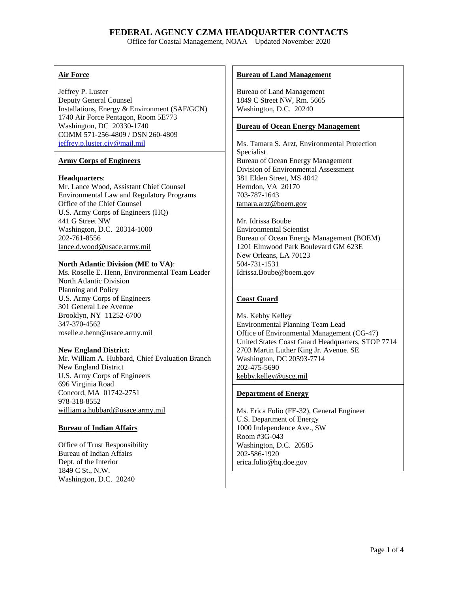Office for Coastal Management, NOAA – Updated November 2020

# **Air Force**

Jeffrey P. Luster Deputy General Counsel Installations, Energy & Environment (SAF/GCN) 1740 Air Force Pentagon, Room 5E773 Washington, DC 20330-1740 COMM 571-256-4809 / DSN 260-4809 [jeffrey.p.luster.civ@mail.mil](mailto:jeffrey.p.luster.civ@mail.mil)

# **Army Corps of Engineers**

# **Headquarters**:

Mr. Lance Wood, Assistant Chief Counsel Environmental Law and Regulatory Programs Office of the Chief Counsel U.S. Army Corps of Engineers (HQ) 441 G Street NW Washington, D.C. 20314-1000 202-761-8556 [lance.d.wood@usace.army.mil](mailto:lance.d.wood@usace.army.mil)

# **North Atlantic Division (ME to VA)**:

Ms. Roselle E. Henn, Environmental Team Leader North Atlantic Division Planning and Policy U.S. Army Corps of Engineers 301 General Lee Avenue Brooklyn, NY 11252-6700 347-370-4562 [roselle.e.henn@usace.army.mil](mailto:roselle.e.henn@usace.army.mil)

# **New England District:**

Mr. William A. Hubbard, Chief Evaluation Branch New England District U.S. Army Corps of Engineers 696 Virginia Road Concord, MA 01742-2751 978-318-8552 [william.a.hubbard@usace.army.mil](mailto:william.a.hubbard@usace.army.mil)

# **Bureau of Indian Affairs**

Office of Trust Responsibility Bureau of Indian Affairs Dept. of the Interior 1849 C St., N.W. Washington, D.C. 20240

# **Bureau of Land Management**

Bureau of Land Management 1849 C Street NW, Rm. 5665 Washington, D.C. 20240

# **Bureau of Ocean Energy Management**

Ms. Tamara S. Arzt, Environmental Protection Specialist Bureau of Ocean Energy Management Division of Environmental Assessment 381 Elden Street, MS 4042 Herndon, VA 20170 703-787-1643 [tamara.arzt@boem.gov](mailto:tamara.arzt@boem.gov)

Mr. Idrissa Boube Environmental Scientist Bureau of Ocean Energy Management (BOEM) 1201 Elmwood Park Boulevard GM 623E New Orleans, LA 70123 504-731-1531 [Idrissa.Boube@boem.gov](mailto:brian.cameronjr@boem.gov)

# **Coast Guard**

Ms. Kebby Kelley Environmental Planning Team Lead Office of Environmental Management (CG-47) United States Coast Guard Headquarters, STOP 7714 2703 Martin Luther King Jr. Avenue. SE Washington, DC 20593-7714 202-475-5690 [kebby.kelley@uscg.mil](mailto:kebby.kelley@uscg.mil)

# **Department of Energy**

Ms. Erica Folio (FE-32), General Engineer U.S. Department of Energy 1000 Independence Ave., SW Room #3G-043 Washington, D.C. 20585 [202-586-1920](tel:202-586%201920) [erica.folio@hq.doe.gov](mailto:erica.folio@hq.doe.gov)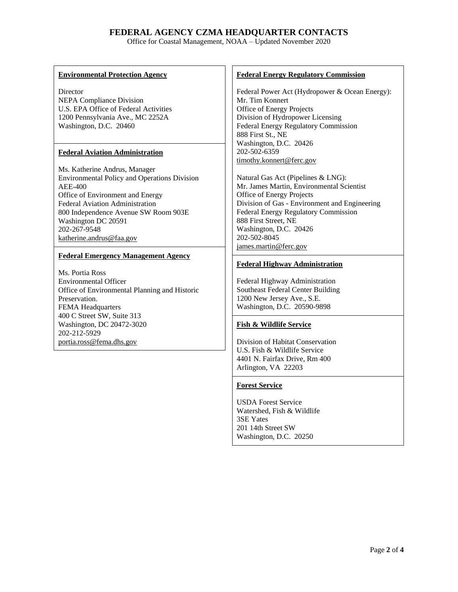Office for Coastal Management, NOAA – Updated November 2020

# **Environmental Protection Agency**

**Director** NEPA Compliance Division U.S. EPA Office of Federal Activities 1200 Pennsylvania Ave., MC 2252A Washington, D.C. 20460

# **Federal Aviation Administration**

Ms. Katherine Andrus, Manager Environmental Policy and Operations Division AEE-400 Office of Environment and Energy Federal Aviation Administration 800 Independence Avenue SW Room 903E Washington DC 20591 202-267-9548 [katherine.andrus@faa.gov](mailto:katherine.andrus@faa.gov)

# **Federal Emergency Management Agency**

Ms. Portia Ross Environmental Officer Office of Environmental Planning and Historic Preservation. FEMA Headquarters 400 C Street SW, Suite 313 Washington, DC 20472-3020 202-212-5929 [portia.ross@fema.dhs.gov](mailto:portia.ross@fema.dhs.gov)

### **Federal Energy Regulatory Commission**

Federal Power Act (Hydropower & Ocean Energy): Mr. Tim Konnert Office of Energy Projects Division of Hydropower Licensing Federal Energy Regulatory Commission 888 First St., NE Washington, D.C. 20426 202-502-6359 [timothy.konnert@ferc.gov](mailto:timothy.konnert@ferc.gov)

Natural Gas Act (Pipelines & LNG): Mr. James Martin, Environmental Scientist Office of Energy Projects Division of Gas - Environment and Engineering Federal Energy Regulatory Commission 888 First Street, NE Washington, D.C. 20426 202-502-8045 [james.martin@ferc.gov](mailto:james.martin@ferc.gov)

# **Federal Highway Administration**

Federal Highway Administration Southeast Federal Center Building 1200 New Jersey Ave., S.E. Washington, D.C. 20590-9898

# **Fish & Wildlife Service**

Division of Habitat Conservation U.S. Fish & Wildlife Service 4401 N. Fairfax Drive, Rm 400 Arlington, VA 22203

# **Forest Service**

USDA Forest Service Watershed, Fish & Wildlife 3SE Yates 201 14th Street SW Washington, D.C. 20250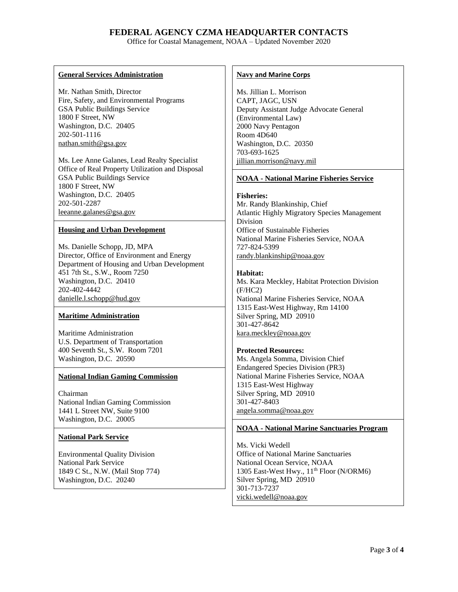Office for Coastal Management, NOAA – Updated November 2020

### **General Services Administration**

Mr. Nathan Smith, Director Fire, Safety, and Environmental Programs GSA Public Buildings Service 1800 F Street, NW Washington, D.C. 20405 202-501-1116 [nathan.smith@gsa.gov](mailto:nathan.smith@gsa.gov)

Ms. Lee Anne Galanes, Lead Realty Specialist Office of Real Property Utilization and Disposal GSA Public Buildings Service 1800 F Street, NW Washington, D.C. 20405 202-501-2287 [leeanne.galanes@gsa.gov](mailto:leeanne.galanes@gsa.gov)

# **Housing and Urban Development**

Ms. Danielle Schopp, JD, MPA Director, Office of Environment and Energy Department of Housing and Urban Development 451 7th St., S.W., Room 7250 Washington, D.C. 20410 202-402-4442 [danielle.l.schopp@hud.gov](mailto:danielle.l.schopp@hud.gov)

# **Maritime Administration**

Maritime Administration U.S. Department of Transportation 400 Seventh St., S.W. Room 7201 Washington, D.C. 20590

# **National Indian Gaming Commission**

Chairman National Indian Gaming Commission 1441 L Street NW, Suite 9100 Washington, D.C. 20005

#### **National Park Service**

Environmental Quality Division National Park Service 1849 C St., N.W. (Mail Stop 774) Washington, D.C. 20240

#### **Navy and Marine Corps**

Ms. Jillian L. Morrison CAPT, JAGC, USN Deputy Assistant Judge Advocate General (Environmental Law) 2000 Navy Pentagon Room 4D640 Washington, D.C. 20350 703-693-1625 [jillian.morrison@navy.mil](mailto:jillian.morrison@navy.mil)

### **NOAA - National Marine Fisheries Service**

**Fisheries:**

Mr. Randy Blankinship, Chief Atlantic Highly Migratory Species Management Division Office of Sustainable Fisheries National Marine Fisheries Service, NOAA 727-824-5399 randy.blankinship@noaa.gov

#### **Habitat:**

Ms. Kara Meckley, Habitat Protection Division (F/HC2) National Marine Fisheries Service, NOAA 1315 East-West Highway, Rm 14100 Silver Spring, MD 20910 301-427-8642 [kara.meckley@noaa.gov](mailto:kara.meckley@noaa.gov)

#### **Protected Resources:**

Ms. Angela Somma, Division Chief Endangered Species Division (PR3) National Marine Fisheries Service, NOAA 1315 East-West Highway Silver Spring, MD 20910 301-427-8403 angela.somma@noaa.gov

# **NOAA - National Marine Sanctuaries Program**

Ms. Vicki Wedell Office of National Marine Sanctuaries National Ocean Service, NOAA 1305 East-West Hwy.,  $11<sup>th</sup>$  Floor (N/ORM6) Silver Spring, MD 20910 301-713-7237 [vicki.wedell@noaa.gov](mailto:vicki.wedell@noaa.gov)